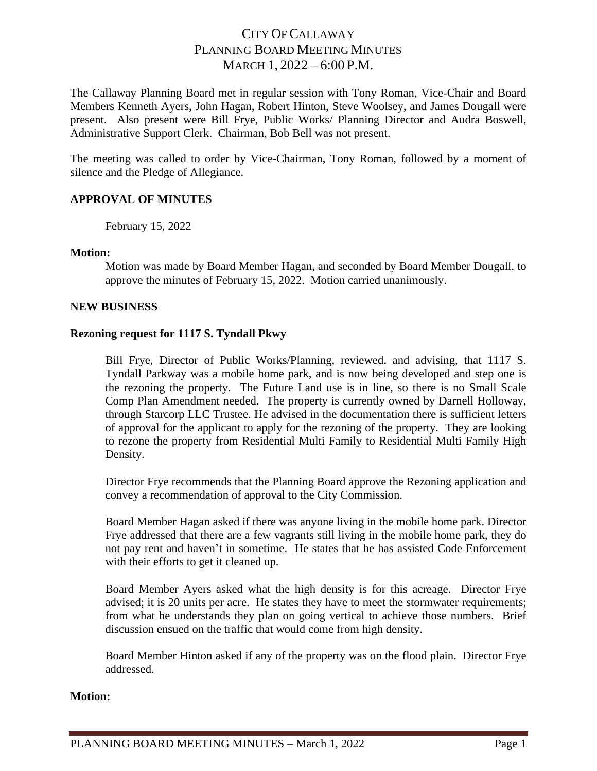# CITY OF CALLAWAY PLANNING BOARD MEETING MINUTES MARCH 1, 2022 – 6:00 P.M.

The Callaway Planning Board met in regular session with Tony Roman, Vice-Chair and Board Members Kenneth Ayers, John Hagan, Robert Hinton, Steve Woolsey, and James Dougall were present. Also present were Bill Frye, Public Works/ Planning Director and Audra Boswell, Administrative Support Clerk. Chairman, Bob Bell was not present.

The meeting was called to order by Vice-Chairman, Tony Roman, followed by a moment of silence and the Pledge of Allegiance.

## **APPROVAL OF MINUTES**

February 15, 2022

#### **Motion:**

Motion was made by Board Member Hagan, and seconded by Board Member Dougall, to approve the minutes of February 15, 2022. Motion carried unanimously.

#### **NEW BUSINESS**

#### **Rezoning request for 1117 S. Tyndall Pkwy**

Bill Frye, Director of Public Works/Planning, reviewed, and advising, that 1117 S. Tyndall Parkway was a mobile home park, and is now being developed and step one is the rezoning the property. The Future Land use is in line, so there is no Small Scale Comp Plan Amendment needed. The property is currently owned by Darnell Holloway, through Starcorp LLC Trustee. He advised in the documentation there is sufficient letters of approval for the applicant to apply for the rezoning of the property. They are looking to rezone the property from Residential Multi Family to Residential Multi Family High Density.

Director Frye recommends that the Planning Board approve the Rezoning application and convey a recommendation of approval to the City Commission.

Board Member Hagan asked if there was anyone living in the mobile home park. Director Frye addressed that there are a few vagrants still living in the mobile home park, they do not pay rent and haven't in sometime. He states that he has assisted Code Enforcement with their efforts to get it cleaned up.

Board Member Ayers asked what the high density is for this acreage. Director Frye advised; it is 20 units per acre. He states they have to meet the stormwater requirements; from what he understands they plan on going vertical to achieve those numbers. Brief discussion ensued on the traffic that would come from high density.

Board Member Hinton asked if any of the property was on the flood plain. Director Frye addressed.

#### **Motion:**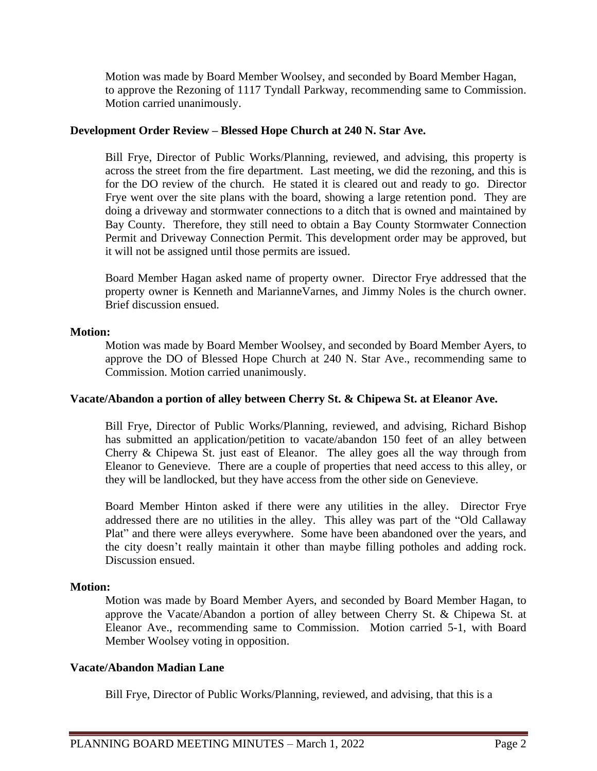Motion was made by Board Member Woolsey, and seconded by Board Member Hagan, to approve the Rezoning of 1117 Tyndall Parkway, recommending same to Commission. Motion carried unanimously.

## **Development Order Review – Blessed Hope Church at 240 N. Star Ave.**

Bill Frye, Director of Public Works/Planning, reviewed, and advising, this property is across the street from the fire department. Last meeting, we did the rezoning, and this is for the DO review of the church. He stated it is cleared out and ready to go. Director Frye went over the site plans with the board, showing a large retention pond. They are doing a driveway and stormwater connections to a ditch that is owned and maintained by Bay County. Therefore, they still need to obtain a Bay County Stormwater Connection Permit and Driveway Connection Permit. This development order may be approved, but it will not be assigned until those permits are issued.

Board Member Hagan asked name of property owner. Director Frye addressed that the property owner is Kenneth and MarianneVarnes, and Jimmy Noles is the church owner. Brief discussion ensued.

#### **Motion:**

Motion was made by Board Member Woolsey, and seconded by Board Member Ayers, to approve the DO of Blessed Hope Church at 240 N. Star Ave., recommending same to Commission. Motion carried unanimously.

#### **Vacate/Abandon a portion of alley between Cherry St. & Chipewa St. at Eleanor Ave.**

Bill Frye, Director of Public Works/Planning, reviewed, and advising, Richard Bishop has submitted an application/petition to vacate/abandon 150 feet of an alley between Cherry & Chipewa St. just east of Eleanor. The alley goes all the way through from Eleanor to Genevieve. There are a couple of properties that need access to this alley, or they will be landlocked, but they have access from the other side on Genevieve.

Board Member Hinton asked if there were any utilities in the alley. Director Frye addressed there are no utilities in the alley. This alley was part of the "Old Callaway Plat" and there were alleys everywhere. Some have been abandoned over the years, and the city doesn't really maintain it other than maybe filling potholes and adding rock. Discussion ensued.

#### **Motion:**

Motion was made by Board Member Ayers, and seconded by Board Member Hagan, to approve the Vacate/Abandon a portion of alley between Cherry St. & Chipewa St. at Eleanor Ave., recommending same to Commission. Motion carried 5-1, with Board Member Woolsey voting in opposition.

## **Vacate/Abandon Madian Lane**

Bill Frye, Director of Public Works/Planning, reviewed, and advising, that this is a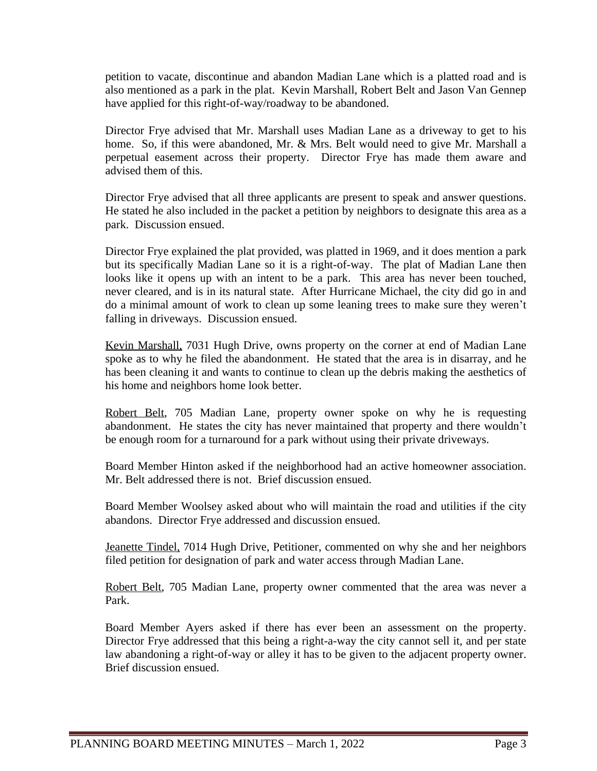petition to vacate, discontinue and abandon Madian Lane which is a platted road and is also mentioned as a park in the plat. Kevin Marshall, Robert Belt and Jason Van Gennep have applied for this right-of-way/roadway to be abandoned.

Director Frye advised that Mr. Marshall uses Madian Lane as a driveway to get to his home. So, if this were abandoned, Mr. & Mrs. Belt would need to give Mr. Marshall a perpetual easement across their property. Director Frye has made them aware and advised them of this.

Director Frye advised that all three applicants are present to speak and answer questions. He stated he also included in the packet a petition by neighbors to designate this area as a park. Discussion ensued.

Director Frye explained the plat provided, was platted in 1969, and it does mention a park but its specifically Madian Lane so it is a right-of-way. The plat of Madian Lane then looks like it opens up with an intent to be a park. This area has never been touched, never cleared, and is in its natural state. After Hurricane Michael, the city did go in and do a minimal amount of work to clean up some leaning trees to make sure they weren't falling in driveways. Discussion ensued.

Kevin Marshall, 7031 Hugh Drive, owns property on the corner at end of Madian Lane spoke as to why he filed the abandonment. He stated that the area is in disarray, and he has been cleaning it and wants to continue to clean up the debris making the aesthetics of his home and neighbors home look better.

Robert Belt, 705 Madian Lane, property owner spoke on why he is requesting abandonment. He states the city has never maintained that property and there wouldn't be enough room for a turnaround for a park without using their private driveways.

Board Member Hinton asked if the neighborhood had an active homeowner association. Mr. Belt addressed there is not. Brief discussion ensued.

Board Member Woolsey asked about who will maintain the road and utilities if the city abandons. Director Frye addressed and discussion ensued.

Jeanette Tindel, 7014 Hugh Drive, Petitioner, commented on why she and her neighbors filed petition for designation of park and water access through Madian Lane.

Robert Belt, 705 Madian Lane, property owner commented that the area was never a Park.

Board Member Ayers asked if there has ever been an assessment on the property. Director Frye addressed that this being a right-a-way the city cannot sell it, and per state law abandoning a right-of-way or alley it has to be given to the adjacent property owner. Brief discussion ensued.